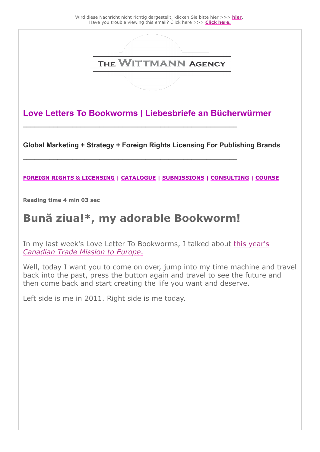

**Love Letters To Bookworms | Liebesbriefe an Bücherwürmer**

**\_\_\_\_\_\_\_\_\_\_\_\_\_\_\_\_\_\_\_\_\_\_\_\_\_\_\_\_\_\_\_\_\_\_\_\_\_\_\_\_\_\_\_\_\_\_\_\_\_\_\_\_\_\_\_\_**

**\_\_\_\_\_\_\_\_\_\_\_\_\_\_\_\_\_\_\_\_\_\_\_\_\_\_\_\_\_\_\_\_\_\_\_\_\_\_\_\_\_\_\_\_\_\_\_\_\_\_\_\_\_\_\_\_** 

**Global Marketing + Strategy + Foreign Rights Licensing For Publishing Brands** 

#### **[FOREIGN RIGHTS & LICENSING](https://25446.seu.cleverreach.com/c/47305332/9d7d5dee238-rcg3gp) | [CATALOGUE](https://25446.seu.cleverreach.com/c/47305333/9d7d5dee238-rcg3gp) | [SUBMISSIONS](https://25446.seu.cleverreach.com/c/47305334/9d7d5dee238-rcg3gp) | [CONSULTING](https://25446.seu.cleverreach.com/c/47305335/9d7d5dee238-rcg3gp) | [COURSE](https://25446.seu.cleverreach.com/c/47305336/9d7d5dee238-rcg3gp)**

**Reading time 4 min 03 sec** 

## **Bună ziua!\*, my adorable Bookworm!**

[In my last week's Love Letter To Bookworms, I talked about this year's](https://25446.seu.cleverreach.com/c/47305337/9d7d5dee238-rcg3gp) *Canadian Trade Mission to Europe*.

Well, today I want you to come on over, jump into my time machine and travel back into the past, press the button again and travel to see the future and then come back and start creating the life you want and deserve.

Left side is me in 2011. Right side is me today.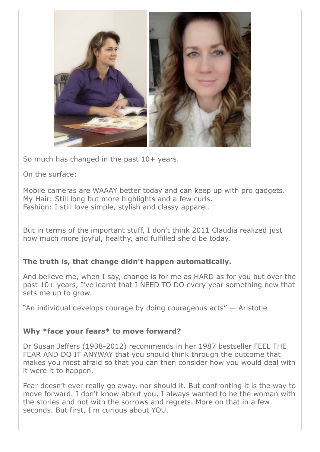

So much has changed in the past 10+ years.

On the surface:

Mobile cameras are WAAAY better today and can keep up with pro gadgets. My Hair: Still long but more highlights and a few curls. Fashion: I still love simple, stylish and classy apparel.

But in terms of the important stuff, I don't think 2011 Claudia realized just how much more joyful, healthy, and fulfilled she'd be today.

#### **The truth is, that change didn't happen automatically.**

And believe me, when I say, change is for me as HARD as for you but over the past 10+ years, I've learnt that I NEED TO DO every year something new that sets me up to grow.

"An individual develops courage by doing courageous acts" — Aristotle

#### **Why \*face your fears\* to move forward?**

Dr Susan Jeffers (1938-2012) recommends in her 1987 bestseller FEEL THE FEAR AND DO IT ANYWAY that you should think through the outcome that makes you most afraid so that you can then consider how you would deal with it were it to happen.

Fear doesn't ever really go away, nor should it. But confronting it is the way to move forward. I don't know about you, I always wanted to be the woman with the stories and not with the sorrows and regrets. More on that in a few seconds. But first, I'm curious about YOU.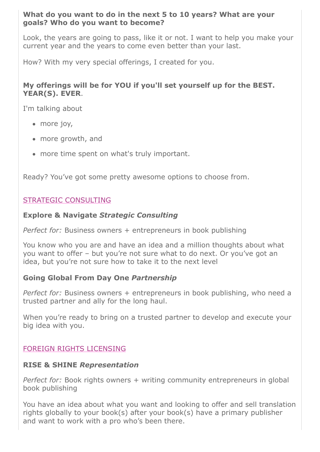#### **What do you want to do in the next 5 to 10 years? What are your goals? Who do you want to become?**

Look, the years are going to pass, like it or not. I want to help you make your current year and the years to come even better than your last.

How? With my very special offerings, I created for you.

#### **My offerings will be for YOU if you'll set yourself up for the BEST. YEAR(S). EVER**.

I'm talking about

- more joy,
- more growth, and
- more time spent on what's truly important.

Ready? You've got some pretty awesome options to choose from.

### [STRATEGIC CONSULTING](https://25446.seu.cleverreach.com/c/47305335/9d7d5dee238-rcg3gp)

#### **Explore & Navigate** *Strategic Consulting*

*Perfect for:* Business owners + entrepreneurs in book publishing

You know who you are and have an idea and a million thoughts about what you want to offer – but you're not sure what to do next. Or you've got an idea, but you're not sure how to take it to the next level

#### **Going Global From Day One** *Partnership*

*Perfect for:* Business owners + entrepreneurs in book publishing, who need a trusted partner and ally for the long haul.

When you're ready to bring on a trusted partner to develop and execute your big idea with you.

#### [FOREIGN RIGHTS LICENSING](https://25446.seu.cleverreach.com/c/47305332/9d7d5dee238-rcg3gp)

#### **RISE & SHINE** *Representation*

*Perfect for:* Book rights owners + writing community entrepreneurs in global book publishing

You have an idea about what you want and looking to offer and sell translation rights globally to your book(s) after your book(s) have a primary publisher and want to work with a pro who's been there.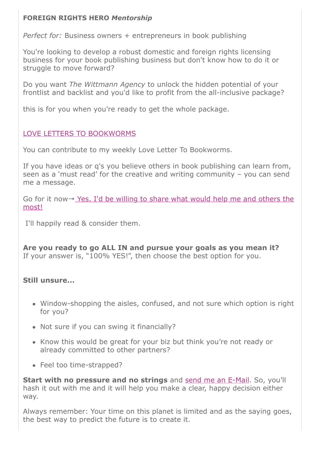#### **FOREIGN RIGHTS HERO** *Mentorship*

*Perfect for:* Business owners + entrepreneurs in book publishing

You're looking to develop a robust domestic and foreign rights licensing business for your book publishing business but don't know how to do it or struggle to move forward?

Do you want *The Wittmann Agency* to unlock the hidden potential of your frontlist and backlist and you'd like to profit from the all-inclusive package?

this is for you when you're ready to get the whole package.

#### [LOVE LETTERS TO BOOKWORMS](https://25446.seu.cleverreach.com/c/47305339/9d7d5dee238-rcg3gp)

You can contribute to my weekly Love Letter To Bookworms.

If you have ideas or q's you believe others in book publishing can learn from, seen as a 'must read' for the creative and writing community – you can send me a message.

Go for it now → [Yes, I'd be willing to share what would help me and others the](https://25446.seu.cleverreach.com/c/47305340/9d7d5dee238-rcg3gp) most!

I'll happily read & consider them.

**Are you ready to go ALL IN and pursue your goals as you mean it?** If your answer is, "100% YES!", then choose the best option for you.

#### **Still unsure...**

- Window-shopping the aisles, confused, and not sure which option is right for you?
- Not sure if you can swing it financially?
- Know this would be great for your biz but think you're not ready or already committed to other partners?
- Feel too time-strapped?

**Start with no pressure and no strings** and [send me an E-Mail.](https://25446.seu.cleverreach.com/c/47305341/9d7d5dee238-rcg3gp) So, you'll hash it out with me and it will help you make a clear, happy decision either way.

Always remember: Your time on this planet is limited and as the saying goes, the best way to predict the future is to create it.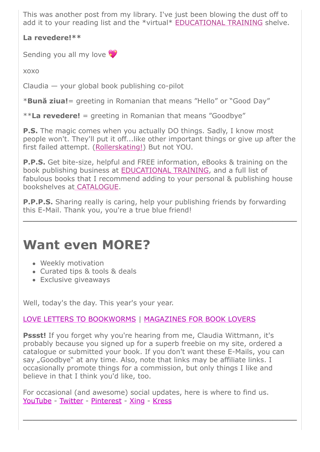This was another post from my library. I've just been blowing the dust off to add it to your reading list and the \*virtual\* [EDUCATIONAL TRAINING](https://25446.seu.cleverreach.com/c/47305342/9d7d5dee238-rcg3gp) shelve.

**La revedere!\*\***

Sending you all my love

xoxo

Claudia — your global book publishing co-pilot

\***Bună ziua!**= greeting in Romanian that means "Hello" or "Good Day"

\*\***La revedere!** = greeting in Romanian that means "Goodbye"

**P.S.** The magic comes when you actually DO things. Sadly, I know most people won't. They'll put it off...like other important things or give up after the first failed attempt. ([Rollerskating!\)](https://25446.seu.cleverreach.com/c/47305343/9d7d5dee238-rcg3gp) But not YOU.

**P.P.S.** Get bite-size, helpful and FREE information, eBooks & training on the book publishing business at [EDUCATIONAL TRAINING](https://25446.seu.cleverreach.com/c/47305342/9d7d5dee238-rcg3gp), and a full list of fabulous books that I recommend adding to your personal & publishing house bookshelves at [CATALOGUE.](https://25446.seu.cleverreach.com/c/47305333/9d7d5dee238-rcg3gp)

**P.P.P.S.** Sharing really is caring, help your publishing friends by forwarding this E-Mail. Thank you, you're a true blue friend!

**\_\_\_\_\_\_\_\_\_\_\_\_\_\_\_\_\_\_\_\_\_\_\_\_\_\_\_\_\_\_\_\_\_\_\_\_\_\_\_\_\_\_\_\_\_\_\_\_\_\_\_\_\_\_\_\_**

# **Want even MORE?**

- Weekly motivation
- Curated tips & tools & deals
- Exclusive giveaways

Well, today's the day. This year's your year.

## [LOVE LETTERS TO BOOKWORMS](https://25446.seu.cleverreach.com/c/47305339/9d7d5dee238-rcg3gp) | [MAGAZINES FOR BOOK LOVERS](https://25446.seu.cleverreach.com/c/47305344/9d7d5dee238-rcg3gp)

**Pssst!** If you forget why you're hearing from me, Claudia Wittmann, it's probably because you signed up for a superb freebie on my site, ordered a catalogue or submitted your book. If you don't want these E-Mails, you can say "Goodbye" at any time. Also, note that links may be affiliate links. I occasionally promote things for a commission, but only things I like and believe in that I think you'd like, too.

For occasional (and awesome) social updates, here is where to find us. [YouTube](https://25446.seu.cleverreach.com/c/47305345/9d7d5dee238-rcg3gp) - [Twitter](https://25446.seu.cleverreach.com/c/47305346/9d7d5dee238-rcg3gp) - [Pinterest](https://25446.seu.cleverreach.com/c/47305347/9d7d5dee238-rcg3gp) - [Xing](https://25446.seu.cleverreach.com/c/47305338/9d7d5dee238-rcg3gp) - [Kress](https://25446.seu.cleverreach.com/c/47305348/9d7d5dee238-rcg3gp)

**\_\_\_\_\_\_\_\_\_\_\_\_\_\_\_\_\_\_\_\_\_\_\_\_\_\_\_\_\_\_\_\_\_\_\_\_\_\_\_\_\_\_\_\_\_\_\_\_\_\_\_\_\_\_\_\_**